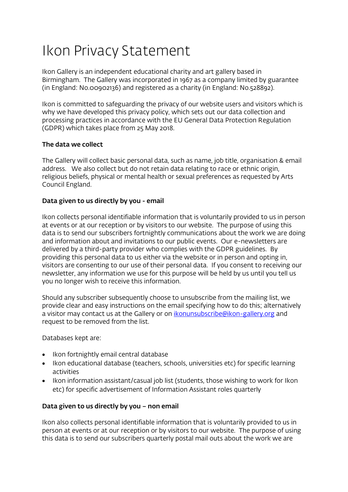# Ikon Privacy Statement

Ikon Gallery is an independent educational charity and art gallery based in Birmingham. The Gallery was incorporated in 1967 as a company limited by guarantee (in England: No.00902136) and registered as a charity (in England: No.528892).

Ikon is committed to safeguarding the privacy of our website users and visitors which is why we have developed this privacy policy, which sets out our data collection and processing practices in accordance with the EU General Data Protection Regulation (GDPR) which takes place from 25 May 2018.

## The data we collect

The Gallery will collect basic personal data, such as name, job title, organisation & email address. We also collect but do not retain data relating to race or ethnic origin, religious beliefs, physical or mental health or sexual preferences as requested by Arts Council England.

## Data given to us directly by you - email

Ikon collects personal identifiable information that is voluntarily provided to us in person at events or at our reception or by visitors to our website. The purpose of using this data is to send our subscribers fortnightly communications about the work we are doing and information about and invitations to our public events. Our e-newsletters are delivered by a third-party provider who complies with the GDPR guidelines. By providing this personal data to us either via the website or in person and opting in, visitors are consenting to our use of their personal data. If you consent to receiving our newsletter, any information we use for this purpose will be held by us until you tell us you no longer wish to receive this information.

Should any subscriber subsequently choose to unsubscribe from the mailing list, we provide clear and easy instructions on the email specifying how to do this; alternatively a visitor may contact us at the Gallery or on *ikonunsubscribe@ikon-gallery.org* and request to be removed from the list.

Databases kept are:

- Ikon fortnightly email central database
- Ikon educational database (teachers, schools, universities etc) for specific learning activities
- Ikon information assistant/casual job list (students, those wishing to work for Ikon etc) for specific advertisement of Information Assistant roles quarterly

#### Data given to us directly by you – non email

Ikon also collects personal identifiable information that is voluntarily provided to us in person at events or at our reception or by visitors to our website. The purpose of using this data is to send our subscribers quarterly postal mail outs about the work we are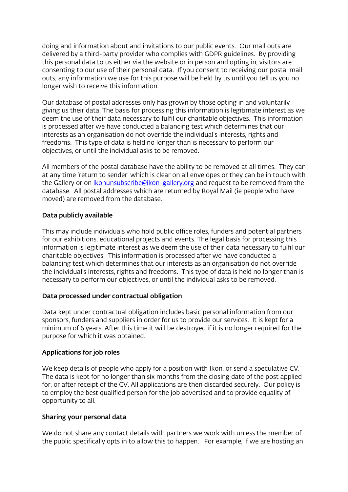doing and information about and invitations to our public events. Our mail outs are delivered by a third-party provider who complies with GDPR guidelines. By providing this personal data to us either via the website or in person and opting in, visitors are consenting to our use of their personal data. If you consent to receiving our postal mail outs, any information we use for this purpose will be held by us until you tell us you no longer wish to receive this information.

Our database of postal addresses only has grown by those opting in and voluntarily giving us their data. The basis for processing this information is legitimate interest as we deem the use of their data necessary to fulfil our charitable objectives. This information is processed after we have conducted a balancing test which determines that our interests as an organisation do not override the individual's interests, rights and freedoms. This type of data is held no longer than is necessary to perform our objectives, or until the individual asks to be removed.

All members of the postal database have the ability to be removed at all times. They can at any time 'return to sender' which is clear on all envelopes or they can be in touch with the Gallery or o[n ikonunsubscribe@ikon-gallery.org](mailto:ikonunsubscribe@ikon-gallery.org) and request to be removed from the database. All postal addresses which are returned by Royal Mail (ie people who have moved) are removed from the database.

#### Data publicly available

This may include individuals who hold public office roles, funders and potential partners for our exhibitions, educational projects and events. The legal basis for processing this information is legitimate interest as we deem the use of their data necessary to fulfil our charitable objectives. This information is processed after we have conducted a balancing test which determines that our interests as an organisation do not override the individual's interests, rights and freedoms. This type of data is held no longer than is necessary to perform our objectives, or until the individual asks to be removed.

#### Data processed under contractual obligation

Data kept under contractual obligation includes basic personal information from our sponsors, funders and suppliers in order for us to provide our services. It is kept for a minimum of 6 years. After this time it will be destroyed if it is no longer required for the purpose for which it was obtained.

#### Applications for job roles

We keep details of people who apply for a position with Ikon, or send a speculative CV. The data is kept for no longer than six months from the closing date of the post applied for, or after receipt of the CV. All applications are then discarded securely. Our policy is to employ the best qualified person for the job advertised and to provide equality of opportunity to all.

#### Sharing your personal data

We do not share any contact details with partners we work with unless the member of the public specifically opts in to allow this to happen. For example, if we are hosting an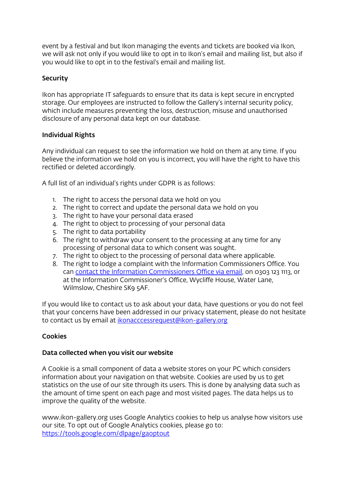event by a festival and but Ikon managing the events and tickets are booked via Ikon, we will ask not only if you would like to opt in to Ikon's email and mailing list, but also if you would like to opt in to the festival's email and mailing list.

# **Security**

Ikon has appropriate IT safeguards to ensure that its data is kept secure in encrypted storage. Our employees are instructed to follow the Gallery's internal security policy, which include measures preventing the loss, destruction, misuse and unauthorised disclosure of any personal data kept on our database.

# Individual Rights

Any individual can request to see the information we hold on them at any time. If you believe the information we hold on you is incorrect, you will have the right to have this rectified or deleted accordingly.

A full list of an individual's rights under GDPR is as follows:

- 1. The right to access the personal data we hold on you
- 2. The right to correct and update the personal data we hold on you
- 3. The right to have your personal data erased
- 4. The right to object to processing of your personal data
- 5. The right to data portability
- 6. The right to withdraw your consent to the processing at any time for any processing of personal data to which consent was sought.
- 7. The right to object to the processing of personal data where applicable.
- 8. The right to lodge a complaint with the Information Commissioners Office. You can [contact the Information Commissioners Office](https://ico.org.uk/global/contact-us/email/) via email, on 0303 123 1113, or at the Information Commissioner's Office, Wycliffe House, Water Lane, Wilmslow, Cheshire SK9 5AF.

If you would like to contact us to ask about your data, have questions or you do not feel that your concerns have been addressed in our privacy statement, please do not hesitate to contact us by email at *[ikonacccessrequest@ikon-gallery.org](mailto:ikonacccessrequest@ikon-gallery.org)* 

# Cookies

#### Data collected when you visit our website

A Cookie is a small component of data a website stores on your PC which considers information about your navigation on that website. Cookies are used by us to get statistics on the use of our site through its users. This is done by analysing data such as the amount of time spent on each page and most visited pages. The data helps us to improve the quality of the website.

www.ikon-gallery.org uses Google Analytics cookies to help us analyse how visitors use our site. To opt out of Google Analytics cookies, please go to: <https://tools.google.com/dlpage/gaoptout>